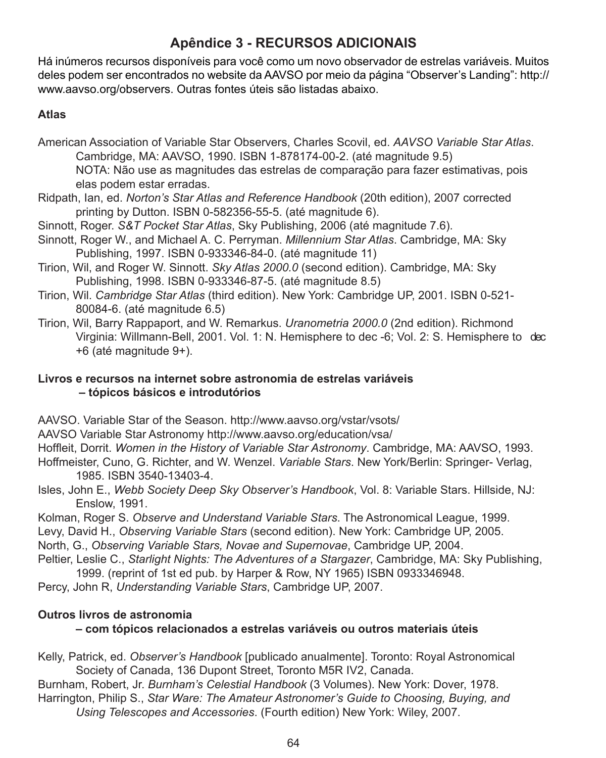# **Apêndice 3 - RECURSOS ADICIONAIS**

Há inúmeros recursos disponíveis para você como um novo observador de estrelas variáveis. Muitos deles podem ser encontrados no website da AAVSO por meio da página "Observer's Landing": http:// www.aavso.org/observers. Outras fontes úteis são listadas abaixo.

### **Atlas**

- American Association of Variable Star Observers, Charles Scovil, ed. *AAVSO Variable Star Atlas*. Cambridge, MA: AAVSO, 1990. ISBN 1-878174-00-2. (até magnitude 9.5) NOTA: Não use as magnitudes das estrelas de comparação para fazer estimativas, pois elas podem estar erradas.
- Ridpath, Ian, ed. *Norton's Star Atlas and Reference Handbook* (20th edition), 2007 corrected printing by Dutton. ISBN 0-582356-55-5. (até magnitude 6).
- Sinnott, Roger. *S&T Pocket Star Atlas*, Sky Publishing, 2006 (até magnitude 7.6).
- Sinnott, Roger W., and Michael A. C. Perryman. *Millennium Star Atlas*. Cambridge, MA: Sky Publishing, 1997. ISBN 0-933346-84-0. (até magnitude 11)
- Tirion, Wil, and Roger W. Sinnott. *Sky Atlas 2000.0* (second edition). Cambridge, MA: Sky Publishing, 1998. ISBN 0-933346-87-5. (até magnitude 8.5)
- Tirion, Wil. *Cambridge Star Atlas* (third edition). New York: Cambridge UP, 2001. ISBN 0-521- 80084-6. (até magnitude 6.5)
- Tirion, Wil, Barry Rappaport, and W. Remarkus. *Uranometria 2000.0* (2nd edition). Richmond Virginia: Willmann-Bell, 2001. Vol. 1: N. Hemisphere to dec -6; Vol. 2: S. Hemisphere to dec +6 (até magnitude 9+).

#### **Livros e recursos na internet sobre astronomia de estrelas variáveis – tópicos básicos e introdutórios**

AAVSO. Variable Star of the Season. http://www.aavso.org/vstar/vsots/

AAVSO Variable Star Astronomy http://www.aavso.org/education/vsa/

Hoffleit, Dorrit. *Women in the History of Variable Star Astronomy*. Cambridge, MA: AAVSO, 1993. Hoffmeister, Cuno, G. Richter, and W. Wenzel. *Variable Stars*. New York/Berlin: Springer- Verlag, 1985. ISBN 3540-13403-4.

Isles, John E., *Webb Society Deep Sky Observer's Handbook*, Vol. 8: Variable Stars. Hillside, NJ: Enslow, 1991.

Kolman, Roger S. *Observe and Understand Variable Stars*. The Astronomical League, 1999.

Levy, David H., *Observing Variable Stars* (second edition). New York: Cambridge UP, 2005.

North, G., *Observing Variable Stars, Novae and Supernovae*, Cambridge UP, 2004.

Peltier, Leslie C., *Starlight Nights: The Adventures of a Stargazer*, Cambridge, MA: Sky Publishing, 1999. (reprint of 1st ed pub. by Harper & Row, NY 1965) ISBN 0933346948.

Percy, John R, *Understanding Variable Stars*, Cambridge UP, 2007.

## **Outros livros de astronomia**

## **– com tópicos relacionados a estrelas variáveis ou outros materiais úteis**

Kelly, Patrick, ed. *Observer's Handbook* [publicado anualmente]. Toronto: Royal Astronomical Society of Canada, 136 Dupont Street, Toronto M5R IV2, Canada.

Burnham, Robert, Jr. *Burnham's Celestial Handbook* (3 Volumes). New York: Dover, 1978. Harrington, Philip S., *Star Ware: The Amateur Astronomer's Guide to Choosing, Buying, and Using Telescopes and Accessories*. (Fourth edition) New York: Wiley, 2007.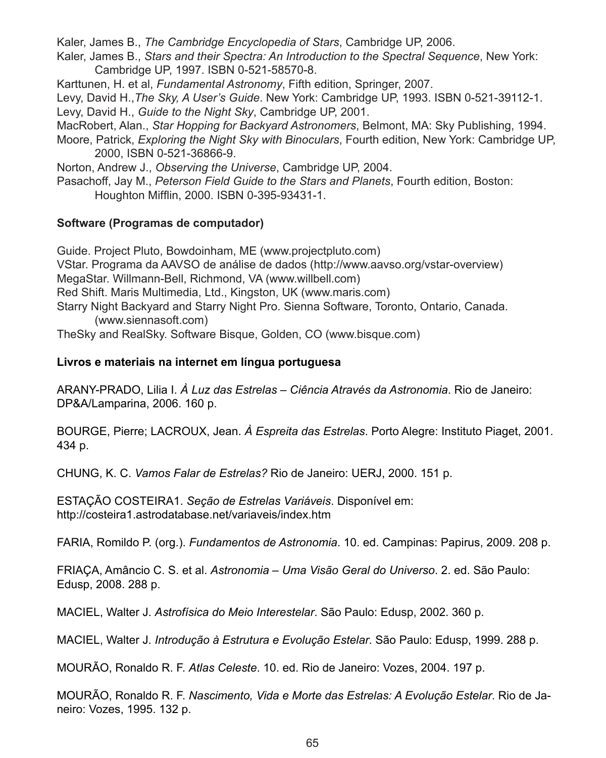Kaler, James B., *The Cambridge Encyclopedia of Stars*, Cambridge UP, 2006.

Kaler, James B., *Stars and their Spectra: An Introduction to the Spectral Sequence*, New York: Cambridge UP, 1997. ISBN 0-521-58570-8.

Karttunen, H. et al, *Fundamental Astronomy*, Fifth edition, Springer, 2007.

Levy, David H.,*The Sky, A User's Guide*. New York: Cambridge UP, 1993. ISBN 0-521-39112-1. Levy, David H., *Guide to the Night Sky*, Cambridge UP, 2001.

MacRobert, Alan., *Star Hopping for Backyard Astronomers*, Belmont, MA: Sky Publishing, 1994.

Moore, Patrick, *Exploring the Night Sky with Binoculars*, Fourth edition, New York: Cambridge UP, 2000, ISBN 0-521-36866-9.

Norton, Andrew J., *Observing the Universe*, Cambridge UP, 2004.

Pasachoff, Jay M., *Peterson Field Guide to the Stars and Planets*, Fourth edition, Boston: Houghton Mifflin, 2000. ISBN 0-395-93431-1.

#### **Software (Programas de computador)**

Guide. Project Pluto, Bowdoinham, ME (www.projectpluto.com) VStar. Programa da AAVSO de análise de dados (http://www.aavso.org/vstar-overview) MegaStar. Willmann-Bell, Richmond, VA (www.willbell.com) Red Shift. Maris Multimedia, Ltd., Kingston, UK (www.maris.com) Starry Night Backyard and Starry Night Pro. Sienna Software, Toronto, Ontario, Canada. (www.siennasoft.com)

TheSky and RealSky. Software Bisque, Golden, CO (www.bisque.com)

#### **Livros e materiais na internet em língua portuguesa**

ARANY-PRADO, Lilia I. *À Luz das Estrelas – Ciência Através da Astronomia*. Rio de Janeiro: DP&A/Lamparina, 2006. 160 p.

BOURGE, Pierre; LACROUX, Jean. *À Espreita das Estrelas*. Porto Alegre: Instituto Piaget, 2001. 434 p.

CHUNG, K. C. *Vamos Falar de Estrelas?* Rio de Janeiro: UERJ, 2000. 151 p.

ESTAÇÃO COSTEIRA1. *Seção de Estrelas Variáveis*. Disponível em: http://costeira1.astrodatabase.net/variaveis/index.htm

FARIA, Romildo P. (org.). *Fundamentos de Astronomia*. 10. ed. Campinas: Papirus, 2009. 208 p.

FRIAÇA, Amâncio C. S. et al. *Astronomia – Uma Visão Geral do Universo*. 2. ed. São Paulo: Edusp, 2008. 288 p.

MACIEL, Walter J. *Astrofísica do Meio Interestelar*. São Paulo: Edusp, 2002. 360 p.

MACIEL, Walter J. *Introdução à Estrutura e Evolução Estelar*. São Paulo: Edusp, 1999. 288 p.

MOURÃO, Ronaldo R. F. *Atlas Celeste*. 10. ed. Rio de Janeiro: Vozes, 2004. 197 p.

MOURÃO, Ronaldo R. F. *Nascimento, Vida e Morte das Estrelas: A Evolução Estelar*. Rio de Janeiro: Vozes, 1995. 132 p.